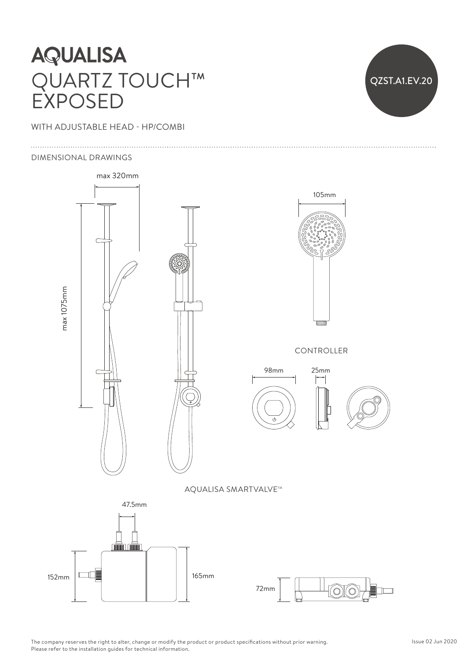# **AQUALISA** QUARTZ TOUCH™ EXPOSED

### WITH ADJUSTABLE HEAD - HP/COMBI

#### DIMENSIONAL DRAWINGS





The company reserves the right to alter, change or modify the product or product specifications without prior warning. Please refer to the installation guides for technical information.